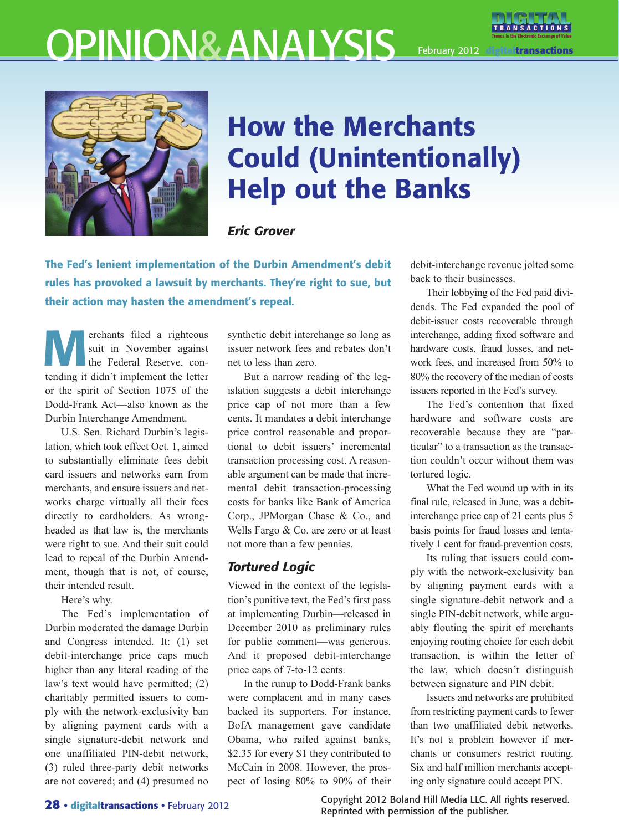# OPINION&ANALYSIS



February 2012 **digitaltransactions**



# How the Merchants Could (Unintentionally) Help out the Banks

### *Eric Grover*

The Fed's lenient implementation of the Durbin Amendment's debit rules has provoked a lawsuit by merchants. They're right to sue, but their action may hasten the amendment's repeal.

**Merchants filed a righteous**<br>suit in November against<br>the Federal Reserve, consuit in November against the Federal Reserve, contending it didn't implement the letter or the spirit of Section 1075 of the Dodd-Frank Act—also known as the Durbin Interchange Amendment.

U.S. Sen. Richard Durbin's legislation, which took effect Oct. 1, aimed to substantially eliminate fees debit card issuers and networks earn from merchants, and ensure issuers and networks charge virtually all their fees directly to cardholders. As wrongheaded as that law is, the merchants were right to sue. And their suit could lead to repeal of the Durbin Amendment, though that is not, of course, their intended result.

Here's why.

The Fed's implementation of Durbin moderated the damage Durbin and Congress intended. It: (1) set debit-interchange price caps much higher than any literal reading of the law's text would have permitted; (2) charitably permitted issuers to comply with the network-exclusivity ban by aligning payment cards with a single signature-debit network and one unaffiliated PIN-debit network, (3) ruled three-party debit networks are not covered; and (4) presumed no synthetic debit interchange so long as issuer network fees and rebates don't net to less than zero.

But a narrow reading of the legislation suggests a debit interchange price cap of not more than a few cents. It mandates a debit interchange price control reasonable and proportional to debit issuers' incremental transaction processing cost. A reasonable argument can be made that incremental debit transaction-processing costs for banks like Bank of America Corp., JPMorgan Chase & Co., and Wells Fargo & Co. are zero or at least not more than a few pennies.

# *Tortured Logic*

Viewed in the context of the legislation's punitive text, the Fed's first pass at implementing Durbin—released in December 2010 as preliminary rules for public comment—was generous. And it proposed debit-interchange price caps of 7-to-12 cents.

In the runup to Dodd-Frank banks were complacent and in many cases backed its supporters. For instance, BofA management gave candidate Obama, who railed against banks, \$2.35 for every \$1 they contributed to McCain in 2008. However, the prospect of losing 80% to 90% of their debit-interchange revenue jolted some back to their businesses.

Their lobbying of the Fed paid dividends. The Fed expanded the pool of debit-issuer costs recoverable through interchange, adding fixed software and hardware costs, fraud losses, and network fees, and increased from 50% to 80% the recovery of the median of costs issuers reported in the Fed's survey.

The Fed's contention that fixed hardware and software costs are recoverable because they are "particular" to a transaction as the transaction couldn't occur without them was tortured logic.

What the Fed wound up with in its final rule, released in June, was a debitinterchange price cap of 21 cents plus 5 basis points for fraud losses and tentatively 1 cent for fraud-prevention costs.

Its ruling that issuers could comply with the network-exclusivity ban by aligning payment cards with a single signature-debit network and a single PIN-debit network, while arguably flouting the spirit of merchants enjoying routing choice for each debit transaction, is within the letter of the law, which doesn't distinguish between signature and PIN debit.

Issuers and networks are prohibited from restricting payment cards to fewer than two unaffiliated debit networks. It's not a problem however if merchants or consumers restrict routing. Six and half million merchants accepting only signature could accept PIN.

Copyright 2012 Boland Hill Media LLC. All rights reserved. Reprinted with permission of the publisher.